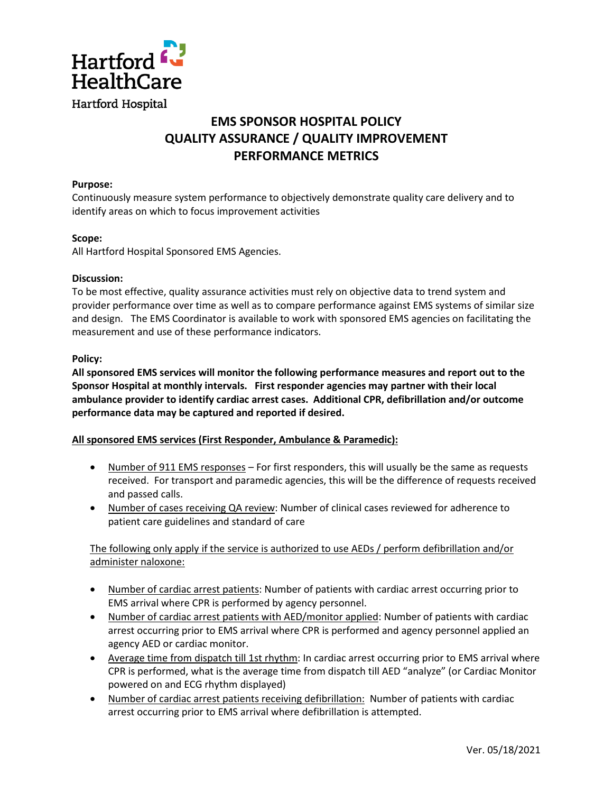

# **EMS SPONSOR HOSPITAL POLICY QUALITY ASSURANCE / QUALITY IMPROVEMENT PERFORMANCE METRICS**

### **Purpose:**

Continuously measure system performance to objectively demonstrate quality care delivery and to identify areas on which to focus improvement activities

### **Scope:**

All Hartford Hospital Sponsored EMS Agencies.

### **Discussion:**

To be most effective, quality assurance activities must rely on objective data to trend system and provider performance over time as well as to compare performance against EMS systems of similar size and design. The EMS Coordinator is available to work with sponsored EMS agencies on facilitating the measurement and use of these performance indicators.

### **Policy:**

**All sponsored EMS services will monitor the following performance measures and report out to the Sponsor Hospital at monthly intervals. First responder agencies may partner with their local ambulance provider to identify cardiac arrest cases. Additional CPR, defibrillation and/or outcome performance data may be captured and reported if desired.**

## **All sponsored EMS services (First Responder, Ambulance & Paramedic):**

- Number of 911 EMS responses For first responders, this will usually be the same as requests received. For transport and paramedic agencies, this will be the difference of requests received and passed calls.
- Number of cases receiving QA review: Number of clinical cases reviewed for adherence to patient care guidelines and standard of care

# The following only apply if the service is authorized to use AEDs / perform defibrillation and/or administer naloxone:

- Number of cardiac arrest patients: Number of patients with cardiac arrest occurring prior to EMS arrival where CPR is performed by agency personnel.
- Number of cardiac arrest patients with AED/monitor applied: Number of patients with cardiac arrest occurring prior to EMS arrival where CPR is performed and agency personnel applied an agency AED or cardiac monitor.
- Average time from dispatch till 1st rhythm: In cardiac arrest occurring prior to EMS arrival where CPR is performed, what is the average time from dispatch till AED "analyze" (or Cardiac Monitor powered on and ECG rhythm displayed)
- Number of cardiac arrest patients receiving defibrillation: Number of patients with cardiac arrest occurring prior to EMS arrival where defibrillation is attempted.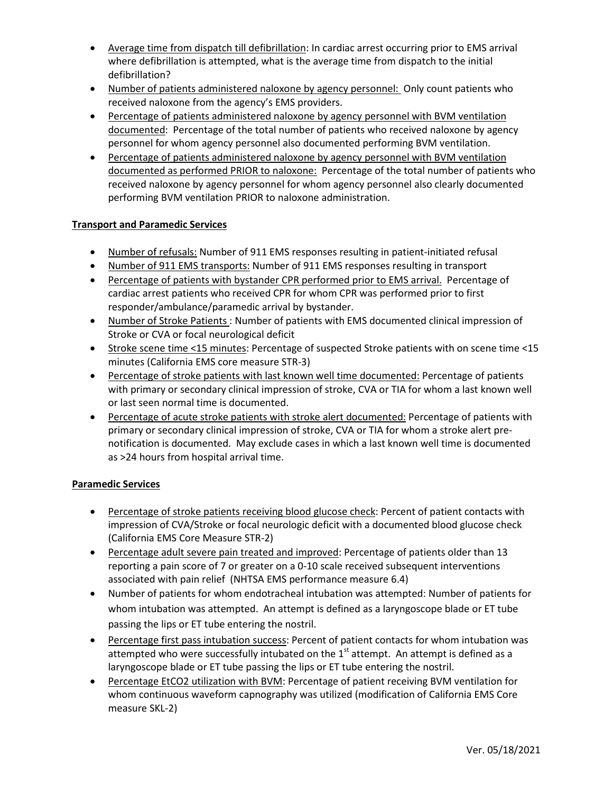- Average time from dispatch till defibrillation: In cardiac arrest occurring prior to EMS arrival where defibrillation is attempted, what is the average time from dispatch to the initial defibrillation?
- Number of patients administered naloxone by agency personnel: Only count patients who received naloxone from the agency's EMS providers.
- Percentage of patients administered naloxone by agency personnel with BVM ventilation documented: Percentage of the total number of patients who received naloxone by agency personnel for whom agency personnel also documented performing BVM ventilation.
- Percentage of patients administered naloxone by agency personnel with BVM ventilation documented as performed PRIOR to naloxone: Percentage of the total number of patients who received naloxone by agency personnel for whom agency personnel also clearly documented performing BVM ventilation PRIOR to naloxone administration.

## **Transport and Paramedic Services**

- Number of refusals: Number of 911 EMS responses resulting in patient-initiated refusal
- Number of 911 EMS transports: Number of 911 EMS responses resulting in transport
- Percentage of patients with bystander CPR performed prior to EMS arrival. Percentage of cardiac arrest patients who received CPR for whom CPR was performed prior to first responder/ambulance/paramedic arrival by bystander.
- Number of Stroke Patients : Number of patients with EMS documented clinical impression of Stroke or CVA or focal neurological deficit
- Stroke scene time <15 minutes: Percentage of suspected Stroke patients with on scene time <15 minutes (California EMS core measure STR-3)
- Percentage of stroke patients with last known well time documented: Percentage of patients with primary or secondary clinical impression of stroke, CVA or TIA for whom a last known well or last seen normal time is documented.
- Percentage of acute stroke patients with stroke alert documented: Percentage of patients with primary or secondary clinical impression of stroke, CVA or TIA for whom a stroke alert prenotification is documented. May exclude cases in which a last known well time is documented as >24 hours from hospital arrival time.

## **Paramedic Services**

- Percentage of stroke patients receiving blood glucose check: Percent of patient contacts with impression of CVA/Stroke or focal neurologic deficit with a documented blood glucose check (California EMS Core Measure STR-2)
- Percentage adult severe pain treated and improved: Percentage of patients older than 13 reporting a pain score of 7 or greater on a 0-10 scale received subsequent interventions associated with pain relief (NHTSA EMS performance measure 6.4)
- Number of patients for whom endotracheal intubation was attempted: Number of patients for whom intubation was attempted. An attempt is defined as a laryngoscope blade or ET tube passing the lips or ET tube entering the nostril.
- Percentage first pass intubation success: Percent of patient contacts for whom intubation was attempted who were successfully intubated on the  $1<sup>st</sup>$  attempt. An attempt is defined as a laryngoscope blade or ET tube passing the lips or ET tube entering the nostril.
- Percentage EtCO2 utilization with BVM: Percentage of patient receiving BVM ventilation for whom continuous waveform capnography was utilized (modification of California EMS Core measure SKL-2)